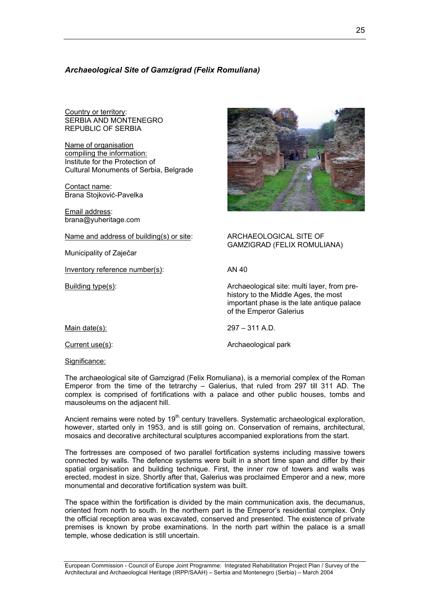# *Archaeological Site of Gamzigrad (Felix Romuliana)*

Country or territory: SERBIA AND MONTENEGRO REPUBLIC OF SERBIA

Name of organisation compiling the information: Institute for the Protection of Cultural Monuments of Serbia, Belgrade

Contact name: Brana Stojković-Pavelka

Email address: brana@yuheritage.com

Name and address of building(s) or site: ARCHAEOLOGICAL SITE OF

Municipality of Zaječar

Inventory reference number(s): AN 40

GAMZIGRAD (FELIX ROMULIANA)

Building type(s): Archaeological site: multi layer, from prehistory to the Middle Ages, the most important phase is the late antique palace of the Emperor Galerius

Main date(s): 297 – 311 A.D.

Current use(s): Current use(s): Archaeological park

Significance:

The archaeological site of Gamzigrad (Felix Romuliana), is a memorial complex of the Roman Emperor from the time of the tetrarchy – Galerius, that ruled from 297 till 311 AD. The complex is comprised of fortifications with a palace and other public houses, tombs and mausoleums on the adjacent hill.

Ancient remains were noted by  $19<sup>th</sup>$  century travellers. Systematic archaeological exploration, however, started only in 1953, and is still going on. Conservation of remains, architectural, mosaics and decorative architectural sculptures accompanied explorations from the start.

The fortresses are composed of two parallel fortification systems including massive towers connected by walls. The defence systems were built in a short time span and differ by their spatial organisation and building technique. First, the inner row of towers and walls was erected, modest in size. Shortly after that, Galerius was proclaimed Emperor and a new, more monumental and decorative fortification system was built.

The space within the fortification is divided by the main communication axis, the decumanus, oriented from north to south. In the northern part is the Emperor's residential complex. Only the official reception area was excavated, conserved and presented. The existence of private premises is known by probe examinations. In the north part within the palace is a small temple, whose dedication is still uncertain.

European Commission - Council of Europe Joint Programme: Integrated Rehabilitation Project Plan / Survey of the Architectural and Archaeological Heritage (IRPP/SAAH) – Serbia and Montenegro (Serbia) – March 2004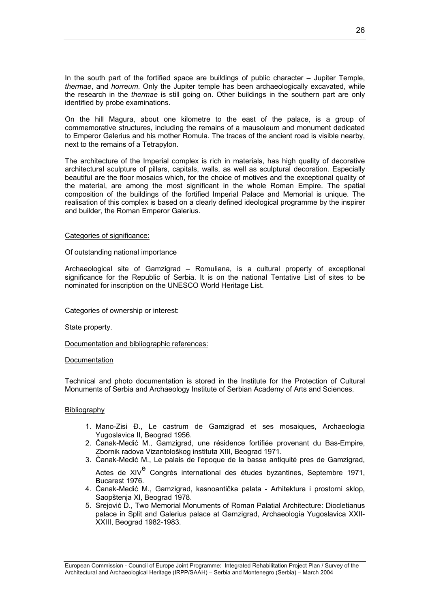In the south part of the fortified space are buildings of public character – Jupiter Temple, *thermae*, and *horreum*. Only the Jupiter temple has been archaeologically excavated, while the research in the *thermae* is still going on. Other buildings in the southern part are only identified by probe examinations.

On the hill Magura, about one kilometre to the east of the palace, is a group of commemorative structures, including the remains of a mausoleum and monument dedicated to Emperor Galerius and his mother Romula. The traces of the ancient road is visible nearby, next to the remains of a Tetrapylon.

The architecture of the Imperial complex is rich in materials, has high quality of decorative architectural sculpture of pillars, capitals, walls, as well as sculptural decoration. Especially beautiful are the floor mosaics which, for the choice of motives and the exceptional quality of the material, are among the most significant in the whole Roman Empire. The spatial composition of the buildings of the fortified Imperial Palace and Memorial is unique. The realisation of this complex is based on a clearly defined ideological programme by the inspirer and builder, the Roman Emperor Galerius.

# Categories of significance:

## Of outstanding national importance

Archaeological site of Gamzigrad – Romuliana, is a cultural property of exceptional significance for the Republic of Serbia. It is on the national Tentative List of sites to be nominated for inscription on the UNESCO World Heritage List.

#### Categories of ownership or interest:

State property.

# Documentation and bibliographic references:

#### Documentation

Technical and photo documentation is stored in the Institute for the Protection of Cultural Monuments of Serbia and Archaeology Institute of Serbian Academy of Arts and Sciences.

# Bibliography

- 1. Mano-Zisi Đ., Le castrum de Gamzigrad et ses mosaiques, Archaeologia Yugoslavica II, Beograd 1956.
- 2. Čanak-Medić M., Gamzigrad, une résidence fortifiée provenant du Bas-Empire, Zbornik radova Vizantološkog instituta XIII, Beograd 1971.
- 3. Čanak-Medić M., Le palais de l'epoque de la basse antiquité pres de Gamzigrad, Actes de XIV<sup>e</sup> Congrés international des études byzantines, Septembre 1971, Bucarest 1976.
- 4. Čanak-Medić M., Gamzigrad, kasnoantička palata Arhitektura i prostorni sklop, Saopštenja XI, Beograd 1978.
- 5. Srejović D., Two Memorial Monuments of Roman Palatial Architecture: Diocletianus palace in Split and Galerius palace at Gamzigrad, Archaeologia Yugoslavica XXII-XXIII, Beograd 1982-1983.

European Commission - Council of Europe Joint Programme: Integrated Rehabilitation Project Plan / Survey of the Architectural and Archaeological Heritage (IRPP/SAAH) – Serbia and Montenegro (Serbia) – March 2004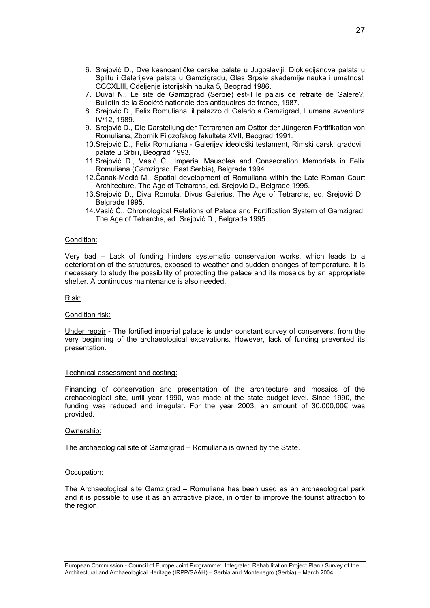- 6. Srejović D., Dve kasnoantičke carske palate u Jugoslaviji: Dioklecijanova palata u Splitu i Galerijeva palata u Gamzigradu, Glas Srpsle akademije nauka i umetnosti CCCXLIII, Odeljenje istorijskih nauka 5, Beograd 1986.
- 7. Duval N., Le site de Gamzigrad (Serbie) est-il le palais de retraite de Galere?, Bulletin de la Société nationale des antiquaires de france, 1987.
- 8. Srejović D., Felix Romuliana, il palazzo di Galerio a Gamzigrad, L'umana avventura IV/12, 1989.
- 9. Srejović D., Die Darstellung der Tetrarchen am Osttor der Jüngeren Fortifikation von Romuliana, Zbornik Filozofskog fakulteta XVII, Beograd 1991.
- 10. Srejović D., Felix Romuliana Galerijev ideološki testament, Rimski carski gradovi i palate u Srbiji, Beograd 1993.
- 11. Srejović D., Vasić Č., Imperial Mausolea and Consecration Memorials in Felix Romuliana (Gamzigrad, East Serbia), Belgrade 1994.
- 12. Čanak-Medić M., Spatial development of Romuliana within the Late Roman Court Architecture, The Age of Tetrarchs, ed. Srejović D., Belgrade 1995.
- 13. Srejović D., Diva Romula, Divus Galerius, The Age of Tetrarchs, ed. Srejović D., Belgrade 1995.
- 14. Vasić Č., Chronological Relations of Palace and Fortification System of Gamzigrad, The Age of Tetrarchs, ed. Srejović D., Belgrade 1995.

### Condition:

Very bad – Lack of funding hinders systematic conservation works, which leads to a deterioration of the structures, exposed to weather and sudden changes of temperature. It is necessary to study the possibility of protecting the palace and its mosaics by an appropriate shelter. A continuous maintenance is also needed.

Risk:

## Condition risk:

Under repair **-** The fortified imperial palace is under constant survey of conservers, from the very beginning of the archaeological excavations. However, lack of funding prevented its presentation.

#### Technical assessment and costing:

Financing of conservation and presentation of the architecture and mosaics of the archaeological site, until year 1990, was made at the state budget level. Since 1990, the funding was reduced and irregular. For the year 2003, an amount of 30.000,00€ was provided.

#### Ownership:

The archaeological site of Gamzigrad – Romuliana is owned by the State.

#### Occupation:

The Archaeological site Gamzigrad – Romuliana has been used as an archaeological park and it is possible to use it as an attractive place, in order to improve the tourist attraction to the region.